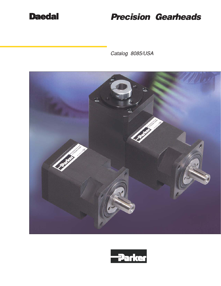

# **Daedal Precision Gearheads**

Catalog 8085/USA



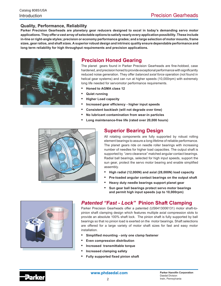### **Quality, Performance, Reliability**

**Parker Precision Gearheads are planetary gear reducers designed to excel in today's demanding servo motor applications. They offer a vast array of selectable options to satisfy nearly every application possibility. These include in-line or right-angle styles; precision or economy performance grades; and a large selection of motor mounts, frame sizes, gear ratios, and shaft sizes. A superior robust design and intrinsic quality ensure dependable performance and long term reliability for high throughput requirements and precision applications.**



### **Precision Honed Gearing**

The planet gears found in Parker Precision Gearheads are fine-hobbed, case hardened, and precision honed to provide exceptional performance with significantly reduced noise generation. They offer *balanced axial force* operation (not found in helical gear systems) and can run at higher speeds (10,000rpm) with extremely long life needed for servomotor performance requirements.

- **• Honed to AGMA class 12**
- **• Quiet running**
- **• Higher Load capacity**
- **• Increased gear efficiency higher input speeds**
- **• Consistent backlash (will not degrade over time)**
- **• No lubricant contamination from wear-in particles**
- **• Long maintenance-free life (rated over 20,000 hours)**



### **Superior Bearing Design**

All rotating components are fully supported by robust rolling element bearings to assure a long lifetime of reliable performance. The planet gears ride on needle roller bearings with increasing number of needles for higher load capacities. The output shaft is supported by "zero clearance" matched angular contact bearings. Radial ball bearings, selected for high input speeds, support the sun gear, protect the servo motor bearing and enable simplified assembly.

- **• High radial (12,000N) and axial (28,000N) load capacity**
- **• Pre-loaded angular contact bearings on the output shaft**
- **• Heavy duty needle bearings support planet gear**
- **• Sun gear ball bearings protect servo motor bearings and permit high input speeds (up to 10,000rpm)**



### *Patented "Fast - Lock"* **Pinion Shaft Clamping**

Parker Precision Gearheads offer a patented (US6413006131) motor shaft-topinion shaft clamping design which features multiple axial compression slots to provide an absolute 100% shaft lock. The pinion shaft is fully supported by ball bearings so that no pinion load is exerted on the motor bearings. Shaft selections are offered for a large variety of motor shaft sizes for fast and easy motor installation.

- **• Simplified mounting only one clamp fastener**
- **• Even compression distribution**
- **• Increased transmittable torque**
- **• Increased clamping safety**
- **• Fully supported fixed pinion shaft**

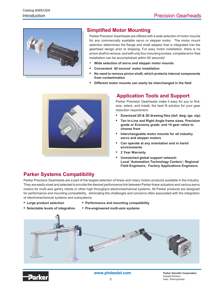

### **Simplified Motor Mounting**

Parker Precision Gearheads are offered with a wide selection of motor mounts for any commercially available servo or stepper motor. The motor mount selection determines the flange and shaft adaptor that is integrated into the gearhead design prior to shipping. For easy motor installation, there is no pinion shaft to remove, and with only four mounting screws, complete error-free installation can be accomplished within 60 seconds!

- **Wide selection of servo and stepper motor mounts**
- **• Convenient** *60 second* **motor installation**
- **• No need to remove pinion shaft, which protects internal components from contamination**
- **• Different motor mounts can easily be interchanged in the field**



### **Application Tools and Support**

Parker Precision Gearheads make it easy for you to find, size, select, and install, the best fit solution for your gear reduction requirement.

- **• Download 2D & 3D drawing files (dxf; dwg; igs; stp)**
- **• Ten In-Line and Right Angle frame sizes, Precision grade or Economy grade, and 14 gear ratios to choose from**
- **• Interchangeable motor mounts for all industry servo and stepper motors**
- **• Can operate at any orientation and in harsh environments**
- **• 2 Year Warranty**
- **• Unmatched global support network: Local 'Automation Technology Centers'; Regional Field Engineers; Factory Applications Engineers.**

# **Parker Systems Compatibility**

Parker Precision Gearheads are a part of the largest selection of linear and rotary motion products available in the industry. They are easily sized and selected to provide the desired performance link between Parker linear actuators and various servo motors for multi-axis gantry robots or other high throughput electromechanical systems. All Parker products are designed for performance and mounting compatibility, eliminating the challenges and concerns often associated with the integration of electromechanical systems and subsystems.

- 
- **• Large product selection • Performance and mounting compatibility**
- **• Selectable levels of integration • Pre-engineered multi-axis systems**
- 





**Parker Hannifin Corporation** Daedal Division Irwin, Pennsylvania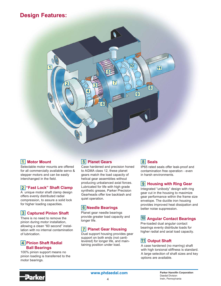# **Design Features:**



### **1** Motor Mount

Selectable motor mounts are offered for all commercially available servo & stepper motors and can be easily interchanged in the field.

### **2** "Fast Lock" Shaft Clamp

A unique motor shaft clamp design offers evenly distributed radial compression, to assure a solid lock for higher loading capacities.

### **3** Captured Pinion Shaft

There is no need to remove the pinion during motor installation, allowing a clean "60 second" installation with no internal contamination of lubrication.

### **Pinion Shaft Radial 4 Ball Bearings**

100% pinion support means no pinion loading is transferred to the motor bearings.

### **5** Planet Gears

Case hardened and precision honed to AGMA class 12, these planet gears match the load capacity of helical gear assemblies without producing unbalanced axial forces. Lubricated for life with high grade synthetic grease, Parker Precision Gearheads offer low backlash and quiet operation.

### **Needle Bearings 6**

Planet gear needle bearings provide greater load capacity and longer life.

### **7** Planet Gear Housing

Dual support housing provides gear support on both ends (not cantilevered) for longer life, and maintaining position under load.



IP65 rated seals offer leak-proof and contamination free operation - even in harsh environments.

### **9** Housing with Ring Gear

Integrated "unibody" design with ring gear cut in the housing to maximize gear performance within the frame size envelope. The ductile iron housing provides improved heat dissipation and better noise suppression.

### **10 Angular Contact Bearings**

Pre-loaded dual angular contact bearings evenly distribute loads for higher radial and axial load capacity.

### **11** Output Shaft

A case hardened (no marring) shaft with high torsional stiffness is standard. A large selection of shaft sizes and key options are available.

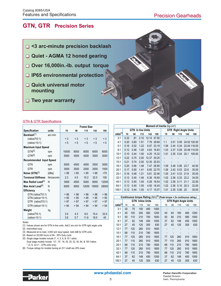# **GTN, GTR Precision Series**

- **<3 arc-minute precision backlash**
- **Quiet AGMA 12 honed gearing**
- **Over 16,000in.-lb. output torque**
- **IP65 environmental protection**
- **Quick universal motor mounting**
- **Two year warranty**

#### GTN & GTR Specifications

|                                |           |       |       | <b>Frame Size</b> |          |          |
|--------------------------------|-----------|-------|-------|-------------------|----------|----------|
| Specification                  | units     | 70    | 90    | 115               | 142      | 190      |
| Backlash <sup>[1]</sup>        | arc-min   |       |       |                   |          |          |
| $(ratios \leq 10.1)$           |           | $<$ 3 | $<$ 3 | $<$ 3             | $\leq$ 3 | $<$ 3    |
| (ratios > 10.1)                |           | < 5   | < 5   | $\leq 5$          | $\leq 5$ | $\leq 5$ |
| <b>Maximum Input Speed</b>     |           |       |       |                   |          |          |
| GTN[2]                         | rpm       | 10000 | 8000  | 8000              | 6000     | 6000     |
| GTR <sup>[2]</sup>             | rpm       | 5000  | 4500  | 4000              | 3500     | 3000     |
| <b>Recommended Input Speed</b> |           |       |       |                   |          |          |
| <b>GTN</b>                     | rpm       | 5000  | 4500  | 4000              | 3500     | 3000     |
| <b>GTR</b>                     | rpm       | 3000  | 2500  | 2500              | 2000     | 1500     |
| Noise (GTN)[3]                 | [dBa]     | < 58  | ~< 60 | < 65              | < 68     | < 70     |
| <b>Torsional Stiffness</b>     | Nm/arcmin | 2.3   | 4.5   | 10.2              | 32.5     | 100      |
| Max Radial Load <sup>[4]</sup> | N         | 3000  | 4000  | 5000              | 8000     | 12000    |
| Max Axial Load <sup>[4]</sup>  | N         | 6000  | 9000  | 12000             | 19000    | 28000    |
| <b>Efficiency</b>              | $\%$      |       |       |                   |          |          |
| GTN (ratios <10:1)             |           | > 98  | > 98  | > 98              | > 98     | >98      |
| GTN (ratios>10:1)              |           | > 95  | > 95  | > 95              | > 95     | > 95     |
| GTR (ratios <10:1)             |           | > 97  | > 97  | > 97              | > 97     | > 97     |
| GTR (ratios>10:1)              | > 94      | > 94  | > 94  | > 94              | > 94     |          |
| Weight                         | kg        |       |       |                   |          |          |
| $(ratios \leq 10.1)$           |           | 3.0   | 4.3   | 9.0               | 15.4     | 33.5     |
| (ratios>10:1)                  |           | 3.6   | 5.7   | 11.6              | 18.5     | 45       |

Notes:

[1] - Values shown are for GTN in-line units. Add 2 arc-min for GTR right angle units

[2] - Intermittent duty

[3] - Measured at no load, 3,000 rpm input speed. Add 2dB for GTR units

[4] - Based on 20,000 hours of life - 50% Duty cycle

[5] - Single stage models include 3\*, 4, 5, 8, & 10:1 ratios

Dual stage models include 12\*, 15\*, 16, 20, 25, 32, 40, 64, & 100:1ratios  $*(3, 12, 8, 5:1 - GTN \text{ units only})$ 

[6] - Torque ratings for models having an S11 shaft are 20% lower

|                      | Moment of Inertia (kg-cm <sup>2</sup> ) |                          |      |       |             |                              |           |      |      |              |
|----------------------|-----------------------------------------|--------------------------|------|-------|-------------|------------------------------|-----------|------|------|--------------|
|                      |                                         | <b>GTN In line Units</b> |      |       |             | <b>GTR Right Angle Units</b> |           |      |      |              |
| ratio <sup>[5]</sup> | 70                                      | 90                       | 115  | 142   | 190         | 70                           | 90        | 115  | 142  | 190          |
| 3:1                  | 0.32                                    | .81                      | 2.10 | 12.14 | 47.50       |                              |           |      |      |              |
| 4:1                  | 0.20                                    | 0.60                     | 1.51 | 7.78  | 29.69       | 1.1                          | 2.51      | 5.59 |      | 24.02 120.00 |
| 5:1                  | 0.16                                    | 0.52                     | 1.22 |       | 6.07 23.18  | 1.06                         | 2.44      | 5.34 |      | 22.04 116.00 |
| 8:1                  | 0.12                                    | 0.46                     | 1.05 | 4.63  | 16.83       | 1.03                         | 2.37      | 5.09 |      | 20.48 110.00 |
| 10:1                 | 0.10                                    | 0.44                     | 1.00 | 4.25  | 15.32       | 1.01                         | 2.35      | 5.04 | 20.1 | 105.00       |
| 12:1                 | 0.22                                    | 0.75                     | 2.00 | 12.37 | 30.25       |                              |           |      |      |              |
| 15:1                 | 0.21                                    | 0.74                     | 2.00 |       | 12.35 25.53 |                              |           |      |      |              |
| 16:1                 | 0.20                                    | 0.56                     | 1.48 |       | 7.47 28.95  | 1.09                         | 2.48      | 5.56 | 23.7 | 40.00        |
| 20:1                 | 0.17                                    | 0.50                     | 1.41 |       | 6.65 22.70  | 1.06                         | 2.42 5.53 |      | 22.6 | 35.00        |
| 25:1                 | 0.16                                    | 0.48                     | 1.21 | 5.81  | 22.46       | 1.05                         | 2.41      | 5.33 | 21.8 | 35.00        |
| 32:1                 | 0.13                                    | 0.45                     | 1.46 | 6.36  | 16.65       | 1.02                         | 2.36      | 5.33 | 22.2 | 34.00        |
| 40:1                 | 0.13                                    | 0.45                     | 1.05 | 5.28  | 16.54       | 1.02                         | 2.36      | 5.11 | 21.1 | 32.00        |
| 64:1                 | 0.13                                    | 0.45                     | 1.05 | 4.50  | 16.45       | 1.02                         | 2.36      | 5.10 | 20.3 | 32.00        |
| 100:1                | 0.12                                    | 0.44                     | 1.00 | 4.17  | 15.07       | 1.01                         | 2.35      | 5.06 | 20   | 30.00        |

|                      | Continuous torque Rating $(Nm)^{[6]}$ (Peak torque = 2x continuous rating) |     |                     |     |      |    |     |     |                              |      |
|----------------------|----------------------------------------------------------------------------|-----|---------------------|-----|------|----|-----|-----|------------------------------|------|
|                      |                                                                            | GTN | <b>Inline Units</b> |     |      |    |     |     | <b>GTR Right Angle Units</b> |      |
| ratio <sup>[5]</sup> | 70                                                                         | 90  | 115                 | 142 | 190  | 70 | 90  | 115 | 142                          | 190  |
| 3:1                  | 30                                                                         | 75  | 150                 | 400 | 1000 |    |     |     |                              |      |
| 4:1                  | 40                                                                         | 100 | 200                 | 560 | 1200 | 40 | 64  | 165 | 465                          | 1200 |
| 5:1                  | 50                                                                         | 110 | 210                 | 700 | 1600 | 50 | 80  | 210 | 585                          | 1500 |
| 8:1                  | 37                                                                         | 62  | 148                 | 450 | 1000 | 37 | 62  | 148 | 450                          | 1000 |
| 10:1                 | 27                                                                         | 45  | 125                 | 305 | 630  | 27 | 45  | 125 | 305                          | 630  |
| 12:1                 | 77                                                                         | 120 | 260                 | 910 | 1800 |    |     |     |                              |      |
| 15:1                 | 68                                                                         | 110 | 210                 | 780 | 1800 |    |     |     |                              |      |
| 16:1                 | 77                                                                         | 120 | 260                 | 910 | 1800 | 77 | 120 | 260 | 910                          | 1800 |
| 20:1                 | 77                                                                         | 110 | 260                 | 910 | 1800 | 77 | 110 | 260 | 910                          | 1800 |
| 25:1                 | 68                                                                         | 110 | 210                 | 780 | 1800 | 68 | 110 | 210 | 780                          | 1800 |
| 32:1                 | 77                                                                         | 120 | 260                 | 910 | 1800 | 77 | 120 | 260 | 910                          | 1800 |
| 40:1                 | 68                                                                         | 110 | 210                 | 780 | 1800 | 68 | 110 | 210 | 780                          | 1800 |
| 64:1                 | 37                                                                         | 62  | 148                 | 450 | 1000 | 37 | 62  | 148 | 450                          | 1000 |
| 100:1                | 27                                                                         | 45  | 125                 | 305 | 630  | 27 | 45  | 125 | 305                          | 630  |

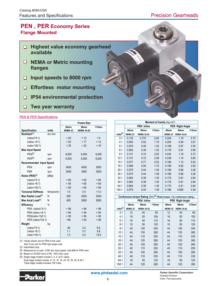## Precision Gearheads

# **PEN , PER Economy Series Flange Mounted**

- **Highest value economy gearhead available**
- **NEMA or Metric mounting flanges**
- **Input speeds to 8000 rpm**  $\Box$
- **Effortless motor mounting**
- **IP54 environmental protection**  $\Box$
- **Two year warranty**  $\Box$

#### PEN & PER Specifications

|                                |           | <b>Frame Size</b> |                   |              |  |  |  |  |  |
|--------------------------------|-----------|-------------------|-------------------|--------------|--|--|--|--|--|
|                                |           | 60mm              | 90mm              | <b>115mm</b> |  |  |  |  |  |
| Specification                  | units     | <b>NEMA 23</b>    | <b>NEMA 34,42</b> |              |  |  |  |  |  |
| Backlash <sup>[1]</sup>        | arc-min   |                   |                   |              |  |  |  |  |  |
| (ratios <sup>5</sup> 8:1)      |           | < 20              | < 12              | < 8          |  |  |  |  |  |
| (ratios > 8:1)                 |           | < 25              | < 17              | < 12         |  |  |  |  |  |
| (ratio=100:1)                  |           | < 30              | < 22              | < 16         |  |  |  |  |  |
| <b>Max Input Speed</b>         |           |                   |                   |              |  |  |  |  |  |
| PFN <sup>[2]</sup>             | rpm       | 8,000             | 6,000             | 6,000        |  |  |  |  |  |
| PFR <sup>[2]</sup>             | rpm       | 6,000             | 6,000             | 6,000        |  |  |  |  |  |
| <b>Recommended Input Speed</b> |           |                   |                   |              |  |  |  |  |  |
| PEN                            | rpm       | 4000              | 4000              | 3500         |  |  |  |  |  |
| <b>PER</b>                     | rpm       | 3000              | 3000              | 3000         |  |  |  |  |  |
| Noise (PEN)[3]                 | [dBa]     |                   |                   |              |  |  |  |  |  |
| (ratios <sup>5</sup> 8:1)      |           | < 58              | < 60              | < 65         |  |  |  |  |  |
| (ratios > 8:1)                 |           | < 58              | <60               | < 65         |  |  |  |  |  |
| (ratio=100:1)                  |           | < 58              | ~50               | < 65         |  |  |  |  |  |
| <b>Torsional Stiffness</b>     | Nm/arcmin | 1.5               | 4.5               | 11.0         |  |  |  |  |  |
| Max Radial Load <sup>[4]</sup> | N         | 500               | 2500              | 3500         |  |  |  |  |  |
| Max Axial Load <sup>[4]</sup>  | N         | 600               | 2800              | 2800         |  |  |  |  |  |
| <b>Efficiency</b>              | $\%$      |                   |                   |              |  |  |  |  |  |
| PEN (ratios $\leq$ 8:1)        |           | > 96              | > 96              | > 96         |  |  |  |  |  |
| PEN (ratios >8:1)              |           | > 94              | > 94              | > 94         |  |  |  |  |  |
| PEN(ratio=100:1)               |           | > 90              | > 90              | > 90         |  |  |  |  |  |
| PER (ratios 564:1)             |           | >94               | > 92              | >98          |  |  |  |  |  |
| Weight                         | kg        |                   |                   |              |  |  |  |  |  |
| (ratios <sup>5</sup> 8:1)      |           | .90               | 3.2               | 6.6          |  |  |  |  |  |
| (ratios > 8:1)                 |           | 1.1               | 3.7               | 8.6          |  |  |  |  |  |
| (ratio=100:1)                  |           | 1.3               | 4.2               | 10.6         |  |  |  |  |  |

[1] - Values shown are for PEN in-line units.

Add 10 arc-min for PER right angle units

[2] - Intermittent duty

[3] - Measured at no load, 3,000 rpm input speed. Add 8dB for PER units

[4] - Based on 20,000 hours of life - 50% Duty cycle

[5] - Single stage models include 3, 4, 5, & 8:1 ratios

Dual stage models include 9, 12, 15, 16, 20, 25, 32, 40, & 64:1 Triple stage models includes 100:1ratio

|                      |                    | <b>PEN Inline</b> |       | <b>PER Right Angle</b> |                   |       |  |
|----------------------|--------------------|-------------------|-------|------------------------|-------------------|-------|--|
|                      | 60 <sub>mm</sub>   | 90mm              | 115mm | 60 <sub>mm</sub>       | <b>90mm</b>       | 115mm |  |
| ratio <sup>[5]</sup> | NEMA <sub>23</sub> | <b>NEMA 34,42</b> |       | NEMA <sub>23</sub>     | <b>NEMA 34,42</b> |       |  |
| 3:1                  | 0.135              | 0.770             | 2.63  | 0.246                  | 1.19              | 5.75  |  |
| 4:1                  | 0.093              | 0.52              | 1.79  | 0.204                  | 0.94              | 3.91  |  |
| 5:1                  | 0.078              | 0.45              | 1.53  | 0.189                  | 0.87              | 3.35  |  |
| 8:1                  | 0.065              | 0.39              | 1.32  | 0.176                  | 0.81              | 2.89  |  |
| 9:1                  | 0.131              | 0.74              | 2.62  | 0.242                  | 1.16              | 5.73  |  |
| 12:1                 | 0.127              | 0.72              | 2.56  | 0.238                  | 1.14              | 5.60  |  |
| 15:1                 | 0.077              | 0.71              | 2.53  | 0.188                  | 1.13              | 5.53  |  |
| 16:1                 | 0.088              | 0.50              | 1.75  | 0.199                  | 0.92              | 3.83  |  |
| 20:1                 | 0.075              | 0.44              | 1.50  | 0.186                  | 0.86              | 3.28  |  |
| 25:1                 | 0.075              | 0.44              | 1.49  | 0.186                  | 0.86              | 3.26  |  |
| 32:1                 | 0.064              | 0.39              | 1.30  | 0.175                  | 0.81              | 2.84  |  |
| 40:1                 | 0.064              | 0.39              | 1.30  | 0.175                  | 0.81              | 2.84  |  |
| 64:1                 | 0.064              | 0.39              | 1.30  | 0.175                  | 0.81              | 2.84  |  |
| 100:1                | 0.075              | 0.44              | 1.49  | 0.186                  | 0.859             | 3.26  |  |

**Moment of Inertia** (kg-cm<sup>2</sup>)

 **Continuous torque Rating** (Nm)[6] **(Peak torque = 2x continuous rating ) PEN Inline PER Right Angle 60mm 90mm 115mm 60mm 90mm 115mm ratio**[5] **NEMA 23 NEMA 34,42 NEMA 23 NEMA 34,42** 3:1 12 40 80 12 40 80 4:1 16 50 100 16 50 100 5:1 16 50 110 16 50 110 8:1 15 50 120 15 50 120 9:1 44 130 240 44 130 240 12:1 44 130 260 44 130 260 15:1 44 110 230 44 110 230 16:1 44 120 260 44 120 260 20:1 44 120 260 44 120 260 25:1 40 110 230 40 110 230 32:1 44 120 260 44 120 260 40:1 40 110 230 40 110 230 64:1 18 50 120 18 50 120 100:1 44 120 260 44 120 260



**Parker Hannifin Corporation** Daedal Division Irwin, Pennsylvania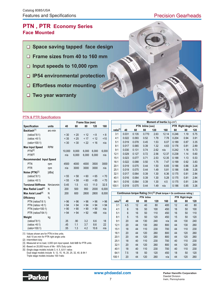# Precision Gearheads

u.

### **PTN , PTR Economy Series Face Mounted**

- **Space saving tapped face design**
- **Frame sizes from 40 to 160 mm**
- **Input speeds to 10,000 rpm**
- **IP54 environmental protection**
- **Effortless motor mounting**
- **Two year warranty**

#### **PTN & PTR Specifications**

|                                |            |        |       | Frame Size (mm) |       |       |
|--------------------------------|------------|--------|-------|-----------------|-------|-------|
| Specification                  | units      | 40     | 60    | 80              | 120   | 160   |
| Backlash <sup>[1]</sup>        | arc-min    |        |       |                 |       |       |
| (ratios <sup>5</sup> 8:1)      |            | < 30   | < 20  | < 12            | < 8   | < 8   |
| (ratios > 8:1)                 |            | < 35   | < 25  | < 17            | < 12  | < 10  |
| (ratio=100:1)                  |            | < 30   | < 30  | < 22            | < 16  | n/a   |
| <b>Max Input Speed</b>         | <b>RPM</b> |        |       |                 |       |       |
| PTN <sup>[2]</sup>             |            | 10,000 | 8,000 | 6,000           | 6,000 | 6,000 |
| PTR <sup>[2]</sup>             |            | n/a    | 6,000 | 6.000           | 6,000 | n/a   |
| <b>Recommended Input Speed</b> |            |        |       |                 |       |       |
| PTN                            | rpm        | 4500   | 4000  | 4000            | 3500  | 3000  |
| <b>PTR</b>                     | rpm        | n/a    | 3000  | 3000            | 3000  | n/a   |
| Noise (PTN)[3]                 | [dBa]      |        |       |                 |       |       |
| $(ratios \leq 8.1)$            |            | < 55   | < 58  | ~< 60           | < 65  | < 70  |
| (ratios > 8.1)                 |            | < 55   | < 58  | ~50             | < 65  | < 70  |
| <b>Torsional Stiffness</b>     | Nm/arcmin  | 0.45   | 1.5   | 4.5             | 11.0  | 32.5  |
| Max Radial Load <sup>[4]</sup> | N          | 200    | 500   | 950             | 2000  | 6,000 |
| Max Axial Load <sup>[4]</sup>  | N          | 200    | 600   | 2800            | 2800  | 8,000 |
| Efficiency                     | $\%$       |        |       |                 |       |       |
| PTN (ratios $\leq$ 8:1)        |            | > 96   | > 96  | > 96            | > 96  | > 96  |
| PTN (ratios >8:1)              |            | > 94   | > 94  | > 94            | > 94  | > 94  |
| PTN (ratio=100:1)              |            | > 90   | > 90  | > 90            | > 90  | n/a   |
| PTR (ratios $\leq 64:1$ )      |            | > 94   | > 94  | > 92            | >88   | n/a   |
| Weight                         | kg         |        |       |                 |       |       |
| (ratios <sup>5</sup> 8:1)      |            | .35    | .90   | 3.2             | 6.6   | 18    |
| (ratios > 8:1)                 |            | .45    | 1.1   | 3.7             | 8.6   | 22    |
| (ratio=100:1)                  |            | .55    | 1.3   | 4.2             | 10.6  | n/a   |

| [1] - Values shown are for PTN in-line units. |  |  |
|-----------------------------------------------|--|--|
|-----------------------------------------------|--|--|

Add 10 arc-min for PTR right angle units [2] - Intermittent duty

[3] - Measured at no load, 3,000 rpm input speed. Add 8dB for PTR units

[4] - Based on 20,000 hours of life - 50% Duty cycle

[5] - Single stage models include 3, 4, 5, & 8:1 ratios

Dual stage models include 9, 12, 15, 16, 20, 25, 32, 40, & 64:1 Triple stage models includes 100:1ratio

|                      | Moment of Inertia (kg-cm <sup>2</sup> ) |       |                 |      |       |       |                      |      |  |  |  |
|----------------------|-----------------------------------------|-------|-----------------|------|-------|-------|----------------------|------|--|--|--|
|                      |                                         |       | PTN Inline (mm) |      |       |       | PTR Right Angle (mm) |      |  |  |  |
| ratio <sup>[5]</sup> | 40                                      | 60    | 80              | 120  | 160   | 60    | 80                   | 120  |  |  |  |
| 3:1                  | 0.031                                   | 0.135 | 0.770           | 2.63 | 12.14 | 0.246 | 1.19                 | 5.75 |  |  |  |
| 4:1                  | 0.022                                   | 0.093 | 0.52            | 1.79 | 7.78  | 0.204 | 0.94                 | 3.91 |  |  |  |
| 5:1                  | 0.019                                   | 0.078 | 0.45            | 1.53 | 6.07  | 0.189 | 0.87                 | 3.35 |  |  |  |
| 8:1                  | 0.017                                   | 0.065 | 0.39            | 1.32 | 4.63  | 0.176 | 0.81                 | 2.89 |  |  |  |
| 9:1                  | 0.030                                   | 0.131 | 0.74            | 2.62 | n/a   | 0.242 | 1.16                 | 5.73 |  |  |  |
| 12:1                 | 0.029                                   | 0.127 | 0.72            | 2.56 | 12.37 | 0.238 | 1.14                 | 5.60 |  |  |  |
| 15:1                 | 0.023                                   | 0.077 | 0.71            | 2.53 | 12.35 | 0.188 | 1.13                 | 5.53 |  |  |  |
| 16:1                 | 0.022                                   | 0.088 | 0.50            | 1.75 | 7.47  | 0.199 | 0.92                 | 3.83 |  |  |  |
| 20:1                 | 0.019                                   | 0.075 | 0.44            | 1.50 | 6.65  | 0.186 | 0.86                 | 3.28 |  |  |  |
| 25:1                 | 0.019                                   | 0.075 | 0.44            | 1.49 | 5.81  | 0.186 | 0.86                 | 3.26 |  |  |  |
| 32:1                 | 0.017                                   | 0.064 | 0.39            | 1.30 | 6.36  | 0.175 | 0.81                 | 2.84 |  |  |  |
| 40:1                 | 0.016                                   | 0.064 | 0.39            | 1.30 | 5.28  | 0.175 | 0.81                 | 2.84 |  |  |  |
| 64:1                 | 0.016                                   | 0.064 | 0.39            | 1.30 | 4.5   | 0.175 | 0.81                 | 2.84 |  |  |  |
| 100:1                | 0.019                                   | 0.075 | 0.44            | 1.49 | n/a   | 0.186 | 0.85                 | 3.26 |  |  |  |

| Continuous torque Rating $(Nm)^{[6]}$ (Peak torque = 2x continuous rating) |     |    |                   |     |     |                 |     |     |  |  |
|----------------------------------------------------------------------------|-----|----|-------------------|-----|-----|-----------------|-----|-----|--|--|
|                                                                            |     |    | <b>PTN</b> Inline |     |     | PTR Right Angle |     |     |  |  |
| ratio <sup>[5]</sup>                                                       | 40  | 60 | 80                | 120 | 160 | 60              | 80  | 120 |  |  |
| 3:1                                                                        | 4.5 | 12 | 40                | 80  | 400 | 12              | 40  | 80  |  |  |
| 4:1                                                                        | 6   | 16 | 50                | 100 | 450 | 16              | 50  | 100 |  |  |
| 5:1                                                                        | 6   | 16 | 50                | 110 | 450 | 16              | 50  | 110 |  |  |
| 8:1                                                                        | 5   | 15 | 50                | 120 | 450 | 15              | 50  | 120 |  |  |
| 9:1                                                                        | 20  | 44 | 130               | 240 | n/a | 44              | 130 | 240 |  |  |
| 12:1                                                                       | 20  | 44 | 130               | 260 | 800 | 44              | 130 | 260 |  |  |
| 15:1                                                                       | 18  | 44 | 110               | 230 | 700 | 44              | 110 | 230 |  |  |
| 16:1                                                                       | 20  | 44 | 120               | 260 | 800 | 44              | 120 | 260 |  |  |
| 20:1                                                                       | 20  | 44 | 120               | 260 | 800 | 44              | 120 | 260 |  |  |
| 25:1                                                                       | 18  | 40 | 110               | 230 | 700 | 40              | 110 | 230 |  |  |
| 32:1                                                                       | 20  | 44 | 120               | 260 | 800 | 44              | 120 | 260 |  |  |
| 40:1                                                                       | 18  | 40 | 110               | 230 | 700 | 40              | 110 | 230 |  |  |
| 64:1                                                                       | 7.5 | 18 | 50                | 120 | 450 | 18              | 50  | 120 |  |  |
| 100:1                                                                      | 20  | 44 | 120               | 260 | n/a | 44              | 120 | 260 |  |  |

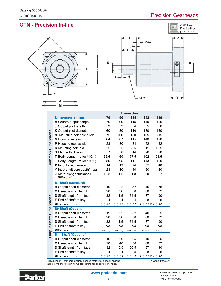日目

# **GTN - Precision In-line**





|                                |                                        |        |        | <b>Frame Size</b> |                 |         |  |
|--------------------------------|----------------------------------------|--------|--------|-------------------|-----------------|---------|--|
|                                | <b>Dimensions: mm</b>                  | 70     | 90     | 115               | 142             | 190     |  |
|                                | A Square output flange                 | 70     | 90     | 115               | 140             | 190     |  |
|                                | J Output pilot length                  | 3      | 3      | 4                 | 5               | 6       |  |
|                                | K Output pilot diameter                | 60     | 80     | 110               | 130             | 160     |  |
|                                | M Mounting bolt hole circle            | 75     | 100    | 130               | 165             | 215     |  |
|                                | N Housing recess                       | 64     | 87     | 115               | 140             | 190     |  |
| <b>Common Dimensions</b>       | P Housing recess width                 | 23     | 30     | 34                | 52              | 52      |  |
|                                | R Mounting hole dia.                   | 5.5    | 6.5    | 8.5               | 11              | 13.5    |  |
|                                | S Flange thickness                     | 7      | 8      | 14                | 20              | 20      |  |
|                                | T Body Length (ratios < 10:1)          | 62.5   | 69     | 77.5              | 102             | 121.5   |  |
|                                | Body Length (ratios>10:1)              | 86     | 97.5   | 111               | 143             | 169     |  |
|                                | X Input bore diameter                  | 14     | 19     | 24                | 35              | 48      |  |
|                                | Y Input shaft bore depth(max) $^{[1]}$ | 23     | 30     | 40                | 50              | 60      |  |
|                                | Z Motor flange thickness               | 18.2   | 21.2   | 21.8              | 35.0            | $\star$ |  |
|                                | $(max.)^{[1][2]}$                      |        |        |                   |                 |         |  |
|                                | <b>S7 Shaft (standard)</b>             |        |        |                   |                 |         |  |
|                                | <b>B</b> Output shaft diameter         | 19     | 22     | 32                | 40              | 55      |  |
|                                | C Useable shaft length                 | 28     | 36     | 58                | 80              | 82      |  |
|                                | D Shaft length from face               | 32     | 41.5   | 64.5              | 87              | 90      |  |
|                                | <b>F</b> End of shaft to key           | 4      | 4      | 4                 | 8               | 6       |  |
| <b>Output Shaft Dimensions</b> | KEY (w x h x I)                        | 6x6x20 | 6x6x28 | 10x8x50           | 12x8x6516x10x70 |         |  |
|                                | <b>S0 Shaft (Optional)</b>             |        |        |                   |                 |         |  |
|                                | <b>B</b> Output shaft diameter         | 19     | 22     | 32                | 40              | 55      |  |
|                                | C Useable shaft length                 | 28     | 36     | 58                | 80              | 82      |  |
|                                | D Shaft length from face               | 32     | 41.5   | 64.5              | 87              | 90      |  |
|                                | F End of shaft to key                  | n/a    | n/a    | n/a               | n/a             | n/a     |  |
|                                | KEY (w x h x I)                        | no key | no key | no key            | no key          | no key  |  |
|                                | <b>S11 Shaft (Optional)</b>            |        |        |                   |                 |         |  |
|                                | <b>B</b> Output shaft diameter         | 16     | 20     | 25                | 40              | 55      |  |
|                                | C Useable shaft length                 | 28     | 40     | 50                | 80              | 82      |  |
|                                | D Shaft length from face               | 32     | 45.5   | 56.5              | 87              | 90      |  |
|                                | F End of shaft to key                  | 4      | 4      | 5                 | 8               | 6       |  |
|                                | KEY (w x h x I)                        | 5x6x20 | 6x6x32 | 8x8x40            | 12x8x6516x10x70 |         |  |

[1] Maximum - standard design; consult factoryfor special options [2] Refer to the "Motor Kit Codes" listing for specific dimension

\* Consult factory

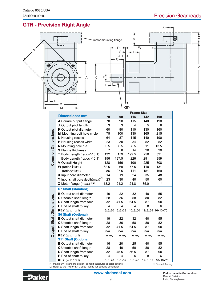# **GTR - Precision Right Angle**



|                                |                                               | <b>Frame Size</b> |        |         |         |          |  |  |  |
|--------------------------------|-----------------------------------------------|-------------------|--------|---------|---------|----------|--|--|--|
|                                | <b>Dimensions: mm</b>                         | 70                | 90     | 115     | 142     | 190      |  |  |  |
|                                | A Square output flange                        | 70                | 90     | 115     | 140     | 190      |  |  |  |
|                                | J Output pilot length                         | 3                 | 3      | 4       | 5       | 6        |  |  |  |
|                                | K Output pilot diameter                       | 60                | 80     | 110     | 130     | 160      |  |  |  |
|                                | M Mounting bolt hole circle                   | 75                | 100    | 130     | 165     | 215      |  |  |  |
|                                | N Housing recess                              | 64                | 87     | 115     | 140     | 190      |  |  |  |
|                                | P Housing recess width                        | 23                | 30     | 34      | 52      | 52       |  |  |  |
|                                | R Mounting hole dia.                          | 5.5               | 6.5    | 8.5     | 11      | 13.5     |  |  |  |
| <b>Common Dimensions</b>       | S Flange thickness                            | 7                 | 8      | 14      | 20      | 20       |  |  |  |
|                                | T Body Length (ratios < 10:1)                 | 132               | 159    | 192.5   | 250     | 321      |  |  |  |
|                                | Body Length (ratios>10:1)                     | 156               | 187.5  | 226     | 291     | 359      |  |  |  |
|                                | V Overall Height                              | 128               | 156    | 190     | 225     | 308      |  |  |  |
|                                | W (ratios $\leq 10:1$ )                       | 62.5              | 69     | 77.5    | 110     | 131      |  |  |  |
|                                | (ratios>10:1)                                 | 86                | 97.5   | 111     | 151     | 169      |  |  |  |
|                                | X Input bore diameter                         | 14                | 19     | 24      | 35      | 48       |  |  |  |
|                                | <b>Y</b> Input shaft bore depth(max) $^{[1]}$ | 23                | 30     | 40      | 50      | 60       |  |  |  |
|                                | Z Motor flange (max.)[1][2]                   | 18.2              | 21.2   | 21.8    | 35.0    | $\star$  |  |  |  |
|                                | <b>S7 Shaft (standard)</b>                    |                   |        |         |         |          |  |  |  |
|                                | <b>B</b> Output shaft diameter                | 19                | 22     | 32      | 40      | 55       |  |  |  |
|                                | C Useable shaft length                        | 28                | 36     | 58      | 80      | 82       |  |  |  |
|                                | D Shaft length from face                      | 32                | 41.5   | 64.5    | 87      | 90       |  |  |  |
|                                | F End of shaft to key                         | 4                 | 4      | 4       | 8       | 6        |  |  |  |
| <b>Output Shaft Dimensions</b> | KEY (w x h x)                                 | 6x6x20            | 6x6x28 | 10x8x50 | 12x8x65 | 16x10x70 |  |  |  |
|                                | <b>S0 Shaft (Optional)</b>                    |                   |        |         |         |          |  |  |  |
|                                | <b>B</b> Output shaft diameter                | 19                | 22     | 32      | 40      | 55       |  |  |  |
|                                | C Useable shaft length                        | 28                | 36     | 58      | 80      | 82       |  |  |  |
|                                | D Shaft length from face                      | 32                | 41.5   | 64.5    | 87      | 90       |  |  |  |
|                                | F End of shaft to key                         | n/a               | n/a    | n/a     | n/a     | n/a      |  |  |  |
|                                | KEY (w x h x I)                               | no key            | no key | no key  | no key  | no key   |  |  |  |
|                                | <b>S11 Shaft (Optional)</b>                   |                   |        |         |         |          |  |  |  |
|                                | <b>B</b> Output shaft diameter                | 16                | 20     | 25      | 40      | 55       |  |  |  |
|                                | C Useable shaft length                        | 28                | 40     | 50      | 80      | 82       |  |  |  |
|                                | D Shaft length from face                      | 32                | 45.5   | 56.5    | 87      | 90       |  |  |  |
|                                | F End of shaft to key                         | 4                 | 4      | 5       | 8       | 6        |  |  |  |
|                                | KEY (w x h x I)                               | 5x6x20            | 6x6x32 | 8x8x40  | 12x8x65 | 16x10x70 |  |  |  |

[1] Maximum - standard design; consult factoryfor special options [2] Refer to the "Motor Kit Codes" listing for specific dimension \* Consult factory

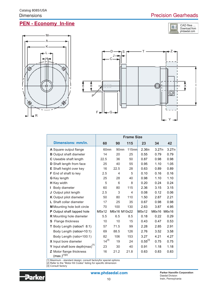日目

CAD files ...<br>Download from<br>phdaedal.com

# **PEN - Economy In-line**





|                                               |                  |                  | <b>Frame Size</b> |              |           |           |
|-----------------------------------------------|------------------|------------------|-------------------|--------------|-----------|-----------|
| <b>Dimensions: mm/in.</b>                     | 60               | 90               | 115               | 23           | 34        | 42        |
| A Square output flange                        | 60 <sub>mm</sub> | 90 <sub>mm</sub> | 115mm             | 2.36in       | $3.27$ in | $3.27$ in |
| <b>B</b> Output shaft diameter                | 14               | 20               | 25                | 0.55         | 0.79      | 0.79      |
| C Useable shaft length                        | 22.5             | 36               | 50                | 0.87         | 0.98      | 0.98      |
| D Shaft length from face                      | 25               | 40               | 55                | 0.95         | 1.10      | 1.05      |
| E Shaft height over key                       | 16               | 22.5             | 28                | 0.63         | 0.89      | 0.89      |
| F End of shaft to key                         | 2.5              | 4                | 5                 | 0.10         | 0.16      | 0.16      |
| <b>G</b> Key length                           | 25               | 28               | 40                | 0.98         | 1.10      | 1.10      |
| H Key width                                   | 5                | 6                | 8                 | 0.20         | 0.24      | 0.24      |
| Body diameter                                 | 60               | 80               | 115               | 2.36         | 3.15      | 3.15      |
| J Output pilot length                         | 2.5              | 3                | 4                 | 0.08         | 0.12      | 0.06      |
| K Output pilot diameter                       | 50               | 80               | 110               | 1.50         | 2.87      | 2.21      |
| L Shaft collar diameter                       | 17               | 25               | 35                | 0.67         | 0.98      | 0.98      |
| M Mounting hole bolt circle                   | 70               | 100              | 130               | 2.63         | 3.87      | 4.95      |
| <b>P</b> Output shaft tapped hole             | M5x12            |                  | M6x16 M10x22      | M5x12        | M6x16     | M6x16     |
| <b>R</b> Mounting hole diameter               | 5.5              | 6.5              | 8.5               | 0.18         | 0.22      | 0.29      |
| Flange thickness<br>S                         | 10               | 10               | 15                | 0.43         | 0.47      | 0.53      |
| T Body Length (ratios $\leq$ 8:1)             | 57               | 71.5             | 99                | 2.28         | 2.85      | 2.91      |
| Body Length (ratios>10:1)                     | 69               | 88.5             | 126               | 2.76         | 3.52      | 3.58      |
| Body Length (ratio=100:1)                     | 82               | 106              | 153               | 3.27         | 4.21      | 4.27      |
| X Input bore diameter                         | $14^{[3]}$       | 19               | 24                | $0.55^{[3]}$ | 0.75      | 0.75      |
| Y Input shaft bore depth $(max)^{[1]}$        | 23               | 30               | 40                | 0.91         | 1.18      | 1.18      |
| Z Motor flange thickness<br>$(max.)^{[1][2]}$ | 16               | 21.2             | 21.8              | 0.63         | 0.83      | 0.83      |

[1] Maximum - standard design; consult factoryfor special options [2] Refer to the "Motor Kit Codes" listing for specific dimension

[3] Consult factory

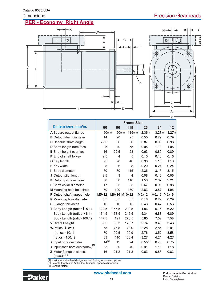# **PER - Economy Right Angle**



|                                               | <b>Frame Size</b> |                  |              |                    |           |           |  |
|-----------------------------------------------|-------------------|------------------|--------------|--------------------|-----------|-----------|--|
| <b>Dimensions: mm/in.</b>                     | 60                | 90               | 115          | 23                 | 34        | 42        |  |
| A Square output flange                        | 60 <sub>mm</sub>  | 90 <sub>mm</sub> | 115mm        | 2.36 <sub>in</sub> | $3.27$ in | $3.27$ in |  |
| <b>B</b> Output shaft diameter                | 14                | 20               | 25           | 0.55               | 0.79      | 0.79      |  |
| C Useable shaft length                        | 22.5              | 36               | 50           | 0.87               | 0.98      | 0.98      |  |
| D Shaft length from face                      | 25                | 40               | 55           | 0.95               | 1.10      | 1.05      |  |
| <b>E</b> Shaft height over key                | 16                | 22.5             | 28           | 0.63               | 0.89      | 0.89      |  |
| F End of shaft to key                         | 2.5               | $\overline{4}$   | 5            | 0.10               | 0.16      | 0.16      |  |
| <b>G</b> Key length                           | 25                | 28               | 40           | 0.98               | 1.10      | 1.10      |  |
| H Key width                                   | 5                 | 6                | 8            | 0.20               | 0.24      | 0.24      |  |
| Body diameter<br>L                            | 60                | 80               | 115          | 2.36               | 3.15      | 3.15      |  |
| J Output pilot length                         | 2.5               | 3                | 4            | 0.08               | 0.12      | 0.06      |  |
| K Output pilot diameter                       | 50                | 80               | 110          | 1.50               | 2.87      | 2.21      |  |
| L Shaft collar diameter                       | 17                | 25               | 35           | 0.67               | 0.98      | 0.98      |  |
| M Mounting hole bolt circle                   | 70                | 100              | 130          | 2.63               | 3.87      | 4.95      |  |
| <b>P</b> Output shaft tapped hole             | M5x12             |                  | M6x16 M10x22 | M5x12              | M6x16     | M6x16     |  |
| <b>R</b> Mounting hole diameter               | 5.5               | 6.5              | 8.5          | 0.18               | 0.22      | 0.29      |  |
| <b>S</b> Flange thickness                     | 10                | 10               | 15           | 0.43               | 0.47      | 0.53      |  |
| <b>T</b> Body Length (ratios $\leq$ 8:1)      | 122.5             | 155.5            | 219.5        | 4.86               | 6.16      | 6.22      |  |
| Body Length (ratios > 8:1)                    | 134.5             | 173.5            | 246.5        | 5.34               | 6.83      | 6.89      |  |
| Body Length (ratio=100:1)                     | 147.5             | 191              | 273.5        | 5.85               | 7.52      | 7.58      |  |
| V Overall height                              | 69.5              | 88.3             | 123.7        | 2.74               | 3.48      | 3.48      |  |
| W(ratios $\leq$ 8:1)                          | 58                | 75.5             | 73.9         | 2.28               | 2.85      | 2.91      |  |
| (ratios > 10:1)                               | 70                | 92.5             | 90.9         | 2.76               | 3.52      | 3.58      |  |
| $(ratios = 100:1)$                            | 83                | 110              | 108.4        | 3.27               | 4.21      | 4.27      |  |
| X Input bore diameter                         | $14^{[3]}$        | 19               | 24           | $0.55^{[3]}$       | 0.75      | 0.75      |  |
| Y Input shaft bore depth $(max)^{[1]}$        | 23                | 30               | 40           | 0.91               | 1.18      | 1.18      |  |
| Z Motor flange thickness<br>$(max.)^{[1][2]}$ | 16                | 21.2             | 21.8         | 0.63               | 0.83      | 0.83      |  |

[1] Maximum - standard design; consult factoryfor special options [2] Refer to the "Motor Kit Codes" listing for specific dimension

[3] Consult factory

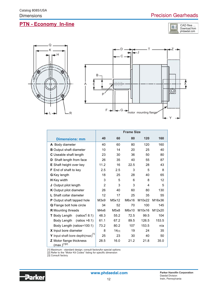# **PTN - Economy In-line**







|                                                      | <b>Frame Size</b> |            |       |        |        |  |
|------------------------------------------------------|-------------------|------------|-------|--------|--------|--|
| <b>Dimensions: mm</b>                                | 40                | 60         | 80    | 120    | 160    |  |
| A Body diameter                                      | 40                | 60         | 80    | 120    | 160    |  |
| <b>B</b> Output shaft diameter                       | 10                | 14         | 20    | 25     | 40     |  |
| C Useable shaft length                               | 23                | 30         | 36    | 50     | 80     |  |
| Shaft length from face<br>D                          | 26                | 35         | 40    | 55     | 87     |  |
| <b>E</b> Shaft height over key                       | 11.2              | 16         | 22.5  | 28     | 43     |  |
| F End of shaft to key                                | 2.5               | 2.5        | 3     | 5      | 8      |  |
| <b>G</b> Key length                                  | 18                | 25         | 28    | 40     | 65     |  |
| <b>H</b> Key width                                   | 3                 | 5          | 6     | 8      | 12     |  |
| J Output pilot length                                | $\overline{2}$    | 3          | 3     | 4      | 5      |  |
| <b>K</b> Output pilot diameter                       | 26                | 40         | 60    | 80     | 130    |  |
| L Shaft collar diameter                              | 12                | 17         | 25    | 35     | 55     |  |
| P Output shaft tapped hole                           | M3x9              | M5x12      | M6x16 | M10x22 | M16x36 |  |
| <b>Q</b> Flange bolt hole circle                     | 34                | 52         | 70    | 100    | 145    |  |
| <b>R</b> Mounting threads                            | M4x6              | M5x8       | M6x10 | M10x16 | M12x20 |  |
| <b>T</b> Body Length<br>(ratios $\leq$ 8:1)          | 48.3              | 55.2       | 72.5  | 99.5   | 104    |  |
| (ratios > 8:1)<br>Body Length                        | 61.1              | 67.2       | 89.5  | 126.5  | 153.5  |  |
| Body Length (ratios=100:1)                           | 73.2              | 80.2       | 107   | 153.5  | n/a    |  |
| X Input bore diameter                                | 8                 | $14_{[3]}$ | 19    | 24     | 35     |  |
| Y Input shaft bore depth $(max)^{[1]}$               | 25                | 23         | 30    | 40     | 50     |  |
| <b>Z</b> Motor flange thickness<br>$(max.)^{[1][2]}$ | 28.5              | 16.0       | 21.2  | 21.8   | 35.0   |  |

[1] Maximum - standard design; consult factoryfor special options

[2] Refer to the "Motor Kit Codes" listing for specific dimension [3] Consult factory

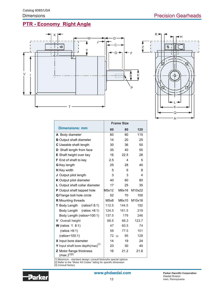# **PTR - Economy Right Angle**





|                                                      | <b>Frame Size</b>  |           |        |
|------------------------------------------------------|--------------------|-----------|--------|
| <b>Dimensions: mm</b>                                | 60                 | 80        | 120    |
| A Body diameter                                      | 60                 | 80        | 115    |
| <b>B</b> Output shaft diameter                       | 14                 | 20        | 25     |
| <b>C</b> Useable shaft length                        | 30                 | 36        | 50     |
| <b>D</b> Shaft length from face                      | 35                 | 40        | 55     |
| <b>E</b> Shaft height over key                       | 16                 | 22.5      | 28     |
| <b>F</b> End of shaft to key                         | 2.5                | 4         | 5      |
| <b>G</b> Key length                                  | 25                 | 28        | 40     |
| <b>H</b> Key width                                   | 5                  | 6         | 8      |
| J Output pilot length                                | 3                  | 3         | 4      |
| K Output pilot diameter                              | 40                 | 60        | 80     |
| L Output shaft collar diameter                       | 17                 | 25        | 35     |
| <b>P</b> Output shaft tapped hole                    | M <sub>5</sub> x12 | M6x16     | M10x22 |
| <b>Q</b> Flange bolt hole circle                     | 52                 | 70        | 100    |
| R Mounting threads                                   | M <sub>5</sub> x8  | M6x10     | M10x16 |
| <b>T</b> Body Length<br>(ratios $\leq$ 8:1)          | 112.5              | 144.5     | 192    |
| Body Length<br>(ratios > 8:1)                        | 124.5              | 161.5     | 219    |
| Body Length (ratios=100:1)                           | 137.5              | 179       | 246    |
| <b>V</b> Overall height                              | 68.5               | 88.3      | 123.7  |
| <b>W</b> (ratios $\leq$ 8:1)                         | 47                 | 60.5      | 74     |
| (ratios > 8:1)                                       | 59                 | 77.5      | 101    |
| (ratios=100:1)                                       | 72                 | 95<br>[3] | 128    |
| X Input bore diameter                                | 14                 | 19        | 24     |
| Y Input shaft bore depth(max                         | 23                 | 30        | 40     |
| <b>Z</b> Motor flange thickness<br>$(max.)^{[1][2]}$ | 16                 | 21.2      | 21.8   |

[1] Maximum - standard design; consult factoryfor special options

[2] Refer to the "Motor Kit Codes" listing for specific dimension [3] Consult factory

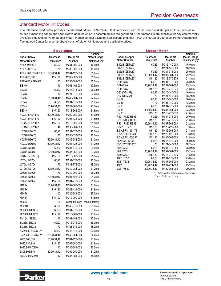### Standard Motor Kit Codes

The reference chart below provides the standard "Motor Kit Numbers" that correspond with Parker servo and stepper motors. Each kit includes a mounting flange and shaft sleeve adaptor which is assembled into the gearhead. Other motor kits are available for any commercially available industrial servo or stepper motor. Please contact a Daedal applications engineer (800-245-6903) or your local Parker Automation Technology Center for a comprehensive list of Motor Kit Numbers and applicable prices.

| <b>Servo Motor</b>   |                   |                  | <b>Stepper Motor</b>                  |                                              |                        |                                     |                                                         |  |
|----------------------|-------------------|------------------|---------------------------------------|----------------------------------------------|------------------------|-------------------------------------|---------------------------------------------------------|--|
| <b>Parker Servo</b>  | Gearhead          | <b>Motor Kit</b> | <b>Nominal</b><br><b>Motor Flange</b> | <b>Parker Stepper</b><br><b>Motor Number</b> | Gearhead<br>Frame Size | Motor Kit<br>Number                 | <b>Nominal</b><br><b>Motor Flange</b><br>Thickness (Z)* |  |
| <b>Motor Number</b>  | <b>Frame Size</b> | Number           | Thickness (Z)*                        |                                              |                        |                                     |                                                         |  |
| APEX 602;604         | 60,23             | M051-000-000     | 16.0mm                                | ES2xB (ZETA57)<br>ES2xB (ZETA57)             | 60,23<br>70            | M015-140-000<br>M121-140-000        | 16.0mm<br>18.2mm                                        |  |
| APEX 602;604         | 70                | M033-000-000     | 18.2mm                                | ES3xB (ZETA83)                               | 60,23                  | M034-376-000                        | 25.0mm                                                  |  |
| APEX 603,605,606,610 | 80,90,34,42       | M004-128-000     | 21.2mm                                | ES3xB (ZETA83)                               | 80,90,34,42            | M037-364-000                        | 23.2mm                                                  |  |
| APEX620;630          | 115,120           | M063-000-000     | 31.8mm                                | ES3xB (ZETA83)                               | 115:120                | M313-270-376                        | 21.8mm                                                  |  |
| APEX635;APEX640      | 142               | M035-381-000     | 35.0mm                                | OEM-83xx                                     | 60;23                  | M034-376-000                        | 25.0mm                                                  |  |
| BE16x                | 40                | M001-199-000     | 17.5mm                                | OEM-83xx                                     | 80,90,34,42            | M037-364-000                        | 23.2mm                                                  |  |
| BE23x                | 60;23             | M043-376-000     | 26.0mm                                | OEM-83xx                                     | 115,120                | M313-270-376                        | 21.8mm                                                  |  |
| BE23x                | 70                | M424-376-000     | 27.2mm                                | OS2 (OEM57)                                  | 60,23<br>70            | M015-140-000                        | 16.0mm<br>18.2mm                                        |  |
| BE23x                | 80,90,34,42       | M443-364-000     | 24.2mm                                | OS2 (OEM57)<br>QM57                          | 60;23                  | M121-140-000<br>M015-140-000        | 16.0mm                                                  |  |
| BE34x                | 60;23             | M034-679-000     | 25.0mm                                | QM57                                         | 70                     | M121-140-000                        | 18.2mm                                                  |  |
| BE34x                | 80,90,34,42       | M037-365-000     | 23.2mm                                | QM83                                         | 60;23                  | M034-376-000                        | 25.0mm                                                  |  |
| BE34x                | 115;120           | M313-362-000     | 21.8mm                                | QM83                                         | 80,90,34,42            | M037-364-000                        | 23.2mm                                                  |  |
| HDX115;HDY115        | 80,90,34,42       | M009-000-000     | 31.2mm                                | QM83xx                                       | 115,120                | M313-270-376                        | 21.8mm                                                  |  |
| HDX115;HDY115        | 115;120           | M008-131-000     | 21.8mm                                | RS31;RS32;RS33                               | 60;23                  | M034-376-000                        | 25.0mm                                                  |  |
| HDX142;HDY142        | 115;120           | M012-000-000     | 31.8mm                                | RS31;RS32;RS33                               | 115,120                | M313-270-376                        | 21.8mm                                                  |  |
| HDX142;HDY142        | 142               | M035-381-000     | 35.0mm                                | RS31;RS32;RS33<br>RS42; RE42                 | 80:90:34:42<br>115;120 | M037-364-000<br>M125-422-000        | 23.2mm<br>37.8mm                                        |  |
| HDX70,HDY70          | 60,23             | M051-378-000     | 16.0mm                                | S.SX, SFX; 106-178                           | 115;120                | M436-363-000                        | 21.8mm                                                  |  |
|                      | 70                |                  |                                       | S, SX, SFX; 106-205                          | 115-120                | M125-422-000                        | 37.8mm                                                  |  |
| HDX70,HDY70          |                   | M033-378-000     | 18.2mm                                | S, SX, SFX; 106-250                          | 115,120                | M436-363-000                        | 21.8mm                                                  |  |
| HDX70,HDY70          | 80,90,34,42       | M049-284-000     | 21.2mm                                | S57;SX57;SFX57                               | 60;23                  | M015-140-000                        | 16.0mm                                                  |  |
| HDX92,HDY92          | 80,90,34,42       | M004-128-000     | 21.2mm                                | S57;SX57;SFX57                               | 70                     | M121-140-000                        | 18.2mm                                                  |  |
| J034x; N034x         | 60;23             | M034-679-000     | 25.0mm                                | S83; SX83                                    | 60:23                  | M034-376-000                        | 25.0mm                                                  |  |
| J034x; N034x         | 80,90,34,42       | M037-365-000     | 23.2mm                                | S83;SX83<br>S83, SX83                        | 80:90:34.42<br>115,120 | M037-364-000<br>M313-270-376        | 23.2mm<br>21.8mm                                        |  |
| J034xxxx G(3-10)     | 115,120           | M313-362-000     | 21.8mm                                | TS31;TS32                                    | 60;23                  | M034-679-000                        | 25.0mm                                                  |  |
| J070x; N070x         | 60;23             | M051-378-000     | 16.0mm                                | TS31;TS32                                    | 80,90,34,42            | M037-365-000                        | 23.2mm                                                  |  |
| J070x; N070x         | 70                | M033-378-000     | 18.2mm                                | <b>TS33</b>                                  | 80,90,34,42            | M037-424-000                        | 23.2mm                                                  |  |
| J070x; N070x         | 80;90;34;42       | M049-284-000     | 21.2mm                                | VS31; VS32                                   | 80,90,34,42            | M182-365-000                        | 29.2mm                                                  |  |
| J092x; N092x         | 70                | M249-000-000     | 25.2mm                                |                                              |                        | * Refer to the dimensional drawings |                                                         |  |
| J092x; N092x         | 80,90,34,42       | M004-128-000     | 21.2mm                                |                                              |                        | ** $x = -1, -2,$ or -3 only         |                                                         |  |
| J092x; N092x         | 115;120           | M031-270-000     | 21.8mm                                |                                              |                        |                                     |                                                         |  |
| M105x                | 80,90,34,42       | M009-000-000     | 31.2mm                                |                                              |                        |                                     |                                                         |  |
| M105x                | 115;120           | M008-131-000     | 21.8mm                                |                                              |                        |                                     |                                                         |  |
| M145x                | 142               | M035-381-000     | 35.0mm                                |                                              |                        |                                     |                                                         |  |
| M145x                | 115;120           | M012-000-000     | 31.8mm                                |                                              |                        |                                     |                                                         |  |
| M205x                | 190               |                  | consult factory consult factory       |                                              |                        |                                     |                                                         |  |
| ML2340B              | 60;23             | M043-376-000     | 26.0mm                                |                                              |                        |                                     |                                                         |  |
| ML3450;ML3475        | 60;23             | M034-679-000     | 25.0mm                                |                                              |                        |                                     |                                                         |  |
| ML3450; ML3475       | 115;120           | M313-362-000     | 21.8mm                                |                                              |                        |                                     |                                                         |  |
| SM16x; SE16x         | 40                | M001-199-000     | 17.5mm                                |                                              |                        |                                     |                                                         |  |
| SM23x; SE23x **      | 60;23             | M015-376-000     | 16.0mm                                |                                              |                        |                                     |                                                         |  |
| SM23x; SE23x **      | 70                | M121-376-000     | 18.2mm                                |                                              |                        |                                     |                                                         |  |
|                      |                   | M043-376-000     |                                       |                                              |                        |                                     |                                                         |  |
| SM23x-L; SE23x-L**   | 60,23             |                  | 26.0mm                                |                                              |                        |                                     |                                                         |  |
| SM23x-L; SE23x-L**   | 80,90,34,42       | M443-364-000     | 24.2mm                                |                                              |                        |                                     |                                                         |  |
| Z605;606;610         | 80;90;34;42       | M004-128-000     | 21.2mm                                |                                              |                        |                                     |                                                         |  |
| Z620;630;910         | 115;120           | M063-000-000     | 31.8mm                                |                                              |                        |                                     |                                                         |  |
| Z635;Z640;Z920       | 142               | M035-381-000     | 35.0mm                                |                                              |                        |                                     |                                                         |  |
| Z805;806;810         | 80;90;34;42       | M009-000-000     | 31.2mm                                |                                              |                        |                                     |                                                         |  |



Z820;Z830;Z840 142 M035-381-000 35.0mm